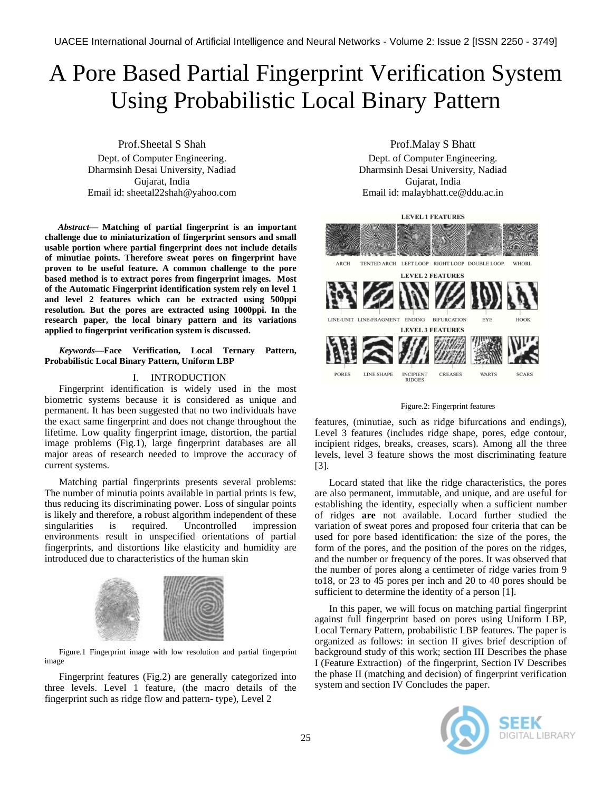# A Pore Based Partial Fingerprint Verification System Using Probabilistic Local Binary Pattern

Prof.Sheetal S Shah Dept. of Computer Engineering. Dharmsinh Desai University, Nadiad Gujarat, India Email id: sheetal22shah@yahoo.com

*Abstract***— Matching of partial fingerprint is an important challenge due to miniaturization of fingerprint sensors and small usable portion where partial fingerprint does not include details of minutiae points. Therefore sweat pores on fingerprint have proven to be useful feature. A common challenge to the pore based method is to extract pores from fingerprint images. Most of the Automatic Fingerprint identification system rely on level 1 and level 2 features which can be extracted using 500ppi resolution. But the pores are extracted using 1000ppi. In the research paper, the local binary pattern and its variations applied to fingerprint verification system is discussed.**

*Keywords—***Face Verification, Local Ternary Pattern, Probabilistic Local Binary Pattern, Uniform LBP**

## I. INTRODUCTION

Fingerprint identification is widely used in the most biometric systems because it is considered as unique and permanent. It has been suggested that no two individuals have the exact same fingerprint and does not change throughout the lifetime. Low quality fingerprint image, distortion, the partial image problems (Fig.1), large fingerprint databases are all major areas of research needed to improve the accuracy of current systems.

Matching partial fingerprints presents several problems: The number of minutia points available in partial prints is few, thus reducing its discriminating power. Loss of singular points is likely and therefore, a robust algorithm independent of these singularities is required. Uncontrolled impression environments result in unspecified orientations of partial fingerprints, and distortions like elasticity and humidity are introduced due to characteristics of the human skin



Figure.1 Fingerprint image with low resolution and partial fingerprint image

Fingerprint features (Fig.2) are generally categorized into three levels. Level 1 feature, (the macro details of the fingerprint such as ridge flow and pattern- type), Level 2

Prof.Malay S Bhatt

Dept. of Computer Engineering. Dharmsinh Desai University, Nadiad Gujarat, India Email id: malaybhatt.ce@ddu.ac.in

**LEVEL 1 FEATURES** 



Figure.2: Fingerprint features

features, (minutiae, such as ridge bifurcations and endings), Level 3 features (includes ridge shape, pores, edge contour, incipient ridges, breaks, creases, scars). Among all the three levels, level 3 feature shows the most discriminating feature [3].

Locard stated that like the ridge characteristics, the pores are also permanent, immutable, and unique, and are useful for establishing the identity, especially when a sufficient number of ridges **are** not available. Locard further studied the variation of sweat pores and proposed four criteria that can be used for pore based identification: the size of the pores, the form of the pores, and the position of the pores on the ridges, and the number or frequency of the pores. It was observed that the number of pores along a centimeter of ridge varies from 9 to18, or 23 to 45 pores per inch and 20 to 40 pores should be sufficient to determine the identity of a person [1].

In this paper, we will focus on matching partial fingerprint against full fingerprint based on pores using Uniform LBP, Local Ternary Pattern, probabilistic LBP features. The paper is organized as follows: in section II gives brief description of background study of this work; section III Describes the phase I (Feature Extraction) of the fingerprint, Section IV Describes the phase II (matching and decision) of fingerprint verification system and section IV Concludes the paper.

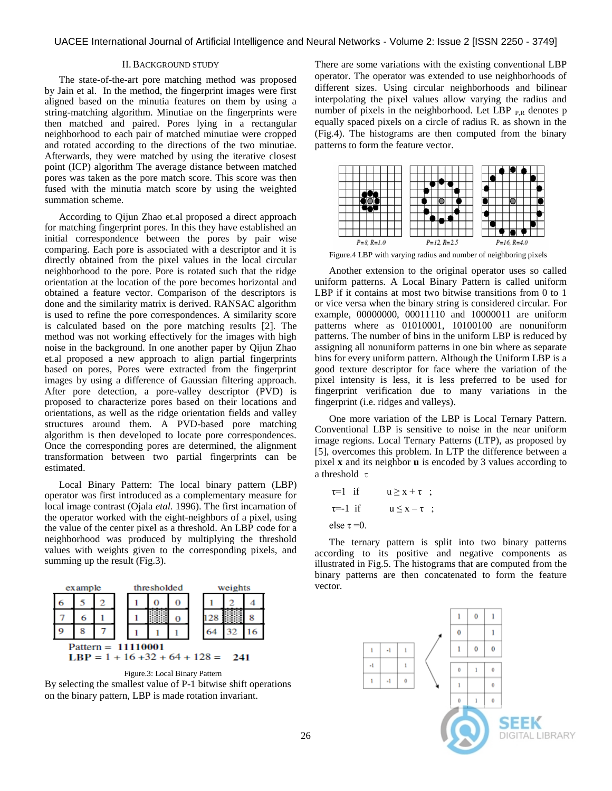## II.BACKGROUND STUDY

The state-of-the-art pore matching method was proposed by Jain et al. In the method, the fingerprint images were first aligned based on the minutia features on them by using a string-matching algorithm. Minutiae on the fingerprints were then matched and paired. Pores lying in a rectangular neighborhood to each pair of matched minutiae were cropped and rotated according to the directions of the two minutiae. Afterwards, they were matched by using the iterative closest point (ICP) algorithm The average distance between matched pores was taken as the pore match score. This score was then fused with the minutia match score by using the weighted summation scheme.

According to Qijun Zhao et.al proposed a direct approach for matching fingerprint pores. In this they have established an initial correspondence between the pores by pair wise comparing. Each pore is associated with a descriptor and it is directly obtained from the pixel values in the local circular neighborhood to the pore. Pore is rotated such that the ridge orientation at the location of the pore becomes horizontal and obtained a feature vector. Comparison of the descriptors is done and the similarity matrix is derived. RANSAC algorithm is used to refine the pore correspondences. A similarity score is calculated based on the pore matching results [2]. The method was not working effectively for the images with high noise in the background. In one another paper by Qijun Zhao et.al proposed a new approach to align partial fingerprints based on pores, Pores were extracted from the fingerprint images by using a difference of Gaussian filtering approach. After pore detection, a pore-valley descriptor (PVD) is proposed to characterize pores based on their locations and orientations, as well as the ridge orientation fields and valley structures around them. A PVD-based pore matching algorithm is then developed to locate pore correspondences. Once the corresponding pores are determined, the alignment transformation between two partial fingerprints can be estimated.

Local Binary Pattern: The local binary pattern (LBP) operator was first introduced as a complementary measure for local image contrast (Ojala *etal.* 1996). The first incarnation of the operator worked with the eight-neighbors of a pixel, using the value of the center pixel as a threshold. An LBP code for a neighborhood was produced by multiplying the threshold values with weights given to the corresponding pixels, and summing up the result (Fig.3).







There are some variations with the existing conventional LBP operator. The operator was extended to use neighborhoods of different sizes. Using circular neighborhoods and bilinear interpolating the pixel values allow varying the radius and number of pixels in the neighborhood. Let LBP  $_{PR}$  denotes p equally spaced pixels on a circle of radius R. as shown in the (Fig.4). The histograms are then computed from the binary patterns to form the feature vector.



Figure.4 LBP with varying radius and number of neighboring pixels

Another extension to the original operator uses so called uniform patterns. A Local Binary Pattern is called uniform LBP if it contains at most two bitwise transitions from 0 to 1 or vice versa when the binary string is considered circular. For example, 00000000, 00011110 and 10000011 are uniform patterns where as 01010001, 10100100 are nonuniform patterns. The number of bins in the uniform LBP is reduced by assigning all nonuniform patterns in one bin where as separate bins for every uniform pattern. Although the Uniform LBP is a good texture descriptor for face where the variation of the pixel intensity is less, it is less preferred to be used for fingerprint verification due to many variations in the fingerprint (i.e. ridges and valleys).

One more variation of the LBP is Local Ternary Pattern. Conventional LBP is sensitive to noise in the near uniform image regions. Local Ternary Patterns (LTP), as proposed by [5], overcomes this problem. In LTP the difference between a pixel **x** and its neighbor **u** is encoded by 3 values according to a threshold  $\tau$ 

$$
\tau=1 \quad \text{if} \quad u \geq x + \tau \quad ;
$$
\n
$$
\tau=-1 \quad \text{if} \quad u \leq x - \tau \quad ;
$$
\n
$$
\text{else } \tau=0.
$$

The ternary pattern is split into two binary patterns according to its positive and negative components as illustrated in Fig.5. The histograms that are computed from the binary patterns are then concatenated to form the feature vector.

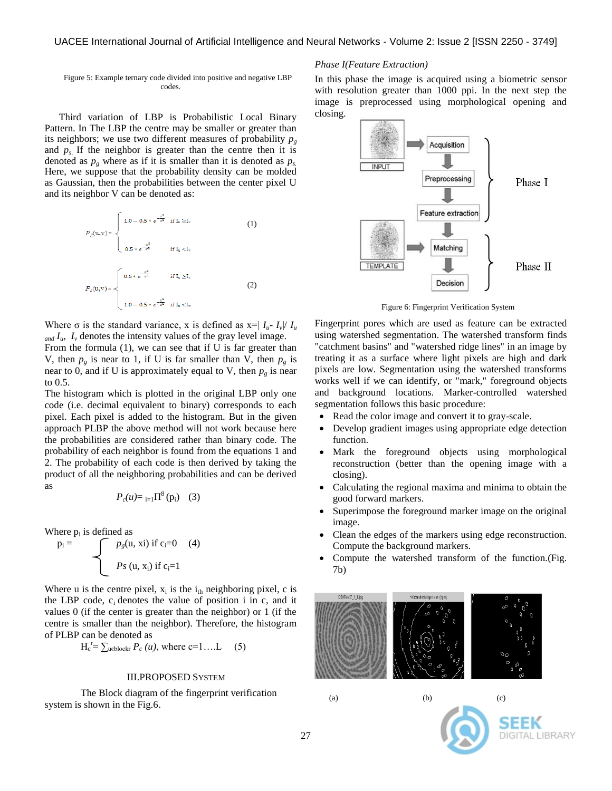Figure 5: Example ternary code divided into positive and negative LBP codes*.*

Third variation of LBP is Probabilistic Local Binary Pattern. In The LBP the centre may be smaller or greater than its neighbors; we use two different measures of probability  $p<sub>g</sub>$ and  $p_s$ . If the neighbor is greater than the centre then it is denoted as  $p_g$  where as if it is smaller than it is denoted as  $p_s$ . Here, we suppose that the probability density can be molded as Gaussian, then the probabilities between the center pixel U and its neighbor V can be denoted as:

$$
P_{g}(u,v) = \begin{cases} 1.0 - 0.5 * e^{-\frac{x^{2}}{\sigma^{2}}} & \text{if } I_{u} \geq I_{v} \\ & \\ 0.5 * e^{-\frac{x^{2}}{\sigma^{2}}} & \text{if } I_{u} < I_{v} \end{cases}
$$
(1)  

$$
P_{g}(u,v) = \begin{cases} 0.5 * e^{-\frac{x^{2}}{\sigma^{2}}} & \text{if } I_{u} \geq I_{v} \\ & \\ 1.0 - 0.5 * e^{-\frac{x^{2}}{\sigma^{2}}} & \text{if } I_{u} < I_{v} \end{cases}
$$
(2)

Where  $\sigma$  is the standard variance, x is defined as  $x = |I_u - I_v| / I_u$  $I_{\mu}$ ,  $I_{\nu}$  denotes the intensity values of the gray level image. From the formula (1), we can see that if U is far greater than V, then  $p_g$  is near to 1, if U is far smaller than V, then  $p_g$  is near to 0, and if U is approximately equal to V, then  $p_g$  is near to 0.5.

The histogram which is plotted in the original LBP only one code (i.e. decimal equivalent to binary) corresponds to each pixel. Each pixel is added to the histogram. But in the given approach PLBP the above method will not work because here the probabilities are considered rather than binary code. The probability of each neighbor is found from the equations 1 and 2. The probability of each code is then derived by taking the product of all the neighboring probabilities and can be derived as

$$
P_c(u) = \frac{1}{1-1}\Pi^8(p_i)
$$
 (3)

Where  $p_i$  is defined as

$$
p_i = \int p_g(u, xi) \text{ if } c_i = 0 \quad (4)
$$
  
*Ps* (u, x<sub>i</sub>) if c<sub>i</sub>=1

Where u is the centre pixel,  $x_i$  is the  $i_{th}$  neighboring pixel, c is the LBP code,  $c_i$  denotes the value of position i in c, and it values 0 (if the center is greater than the neighbor) or 1 (if the centre is smaller than the neighbor). Therefore, the histogram of PLBP can be denoted as

$$
H_c^{\ r} = \sum_{u \in block} P_c(u), \text{ where } c = 1...L \qquad (5)
$$

#### III.PROPOSED SYSTEM

The Block diagram of the fingerprint verification system is shown in the Fig.6.

## *Phase I(Feature Extraction)*

In this phase the image is acquired using a biometric sensor with resolution greater than 1000 ppi. In the next step the image is preprocessed using morphological opening and closing.



Figure 6: Fingerprint Verification System

Fingerprint pores which are used as feature can be extracted using watershed segmentation. The watershed transform finds "catchment basins" and "watershed ridge lines" in an image by treating it as a surface where light pixels are high and dark pixels are low. Segmentation using the watershed transforms works well if we can identify, or "mark," foreground objects and background locations. Marker-controlled watershed segmentation follows this basic procedure:

- Read the color image and convert it to gray-scale.
- Develop gradient images using appropriate edge detection function.
- Mark the foreground objects using morphological reconstruction (better than the opening image with a closing).
- Calculating the regional maxima and minima to obtain the good forward markers.
- Superimpose the foreground marker image on the original image.
- Clean the edges of the markers using edge reconstruction. Compute the background markers.
- Compute the watershed transform of the function.(Fig. 7b)



$$
f_{\rm{max}}
$$

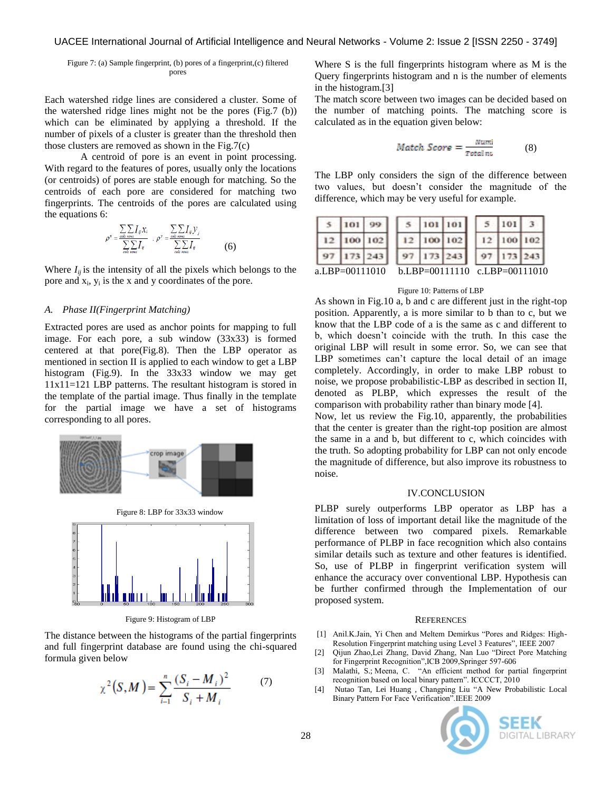Figure 7: (a) Sample fingerprint, (b) pores of a fingerprint,(c) filtered pores

Each watershed ridge lines are considered a cluster. Some of the watershed ridge lines might not be the pores (Fig.7 (b)) which can be eliminated by applying a threshold. If the number of pixels of a cluster is greater than the threshold then those clusters are removed as shown in the Fig.7(c)

A centroid of pore is an event in point processing. With regard to the features of pores, usually only the locations (or centroids) of pores are stable enough for matching. So the centroids of each pore are considered for matching two fingerprints. The centroids of the pores are calculated using the equations 6:

$$
\rho^* = \frac{\sum_{\text{col}} \sum_{\text{row}} I_{ij} x_i}{\sum_{\text{col}} \sum_{\text{row}} I_{ij}} , \quad \rho^* = \frac{\sum_{\text{col}} \sum_{\text{row}} I_{ij} y_j}{\sum_{\text{col}} \sum_{\text{row}} I_{ij}} \tag{6}
$$

Where  $I_{ij}$  is the intensity of all the pixels which belongs to the pore and  $x_i$ ,  $y_i$  is the x and y coordinates of the pore.

### *A. Phase II(Fingerprint Matching)*

Extracted pores are used as anchor points for mapping to full image. For each pore, a sub window (33x33) is formed centered at that pore(Fig.8). Then the LBP operator as mentioned in section II is applied to each window to get a LBP histogram (Fig.9). In the 33x33 window we may get 11x11=121 LBP patterns. The resultant histogram is stored in the template of the partial image. Thus finally in the template for the partial image we have a set of histograms corresponding to all pores.



Figure 9: Histogram of LBP

The distance between the histograms of the partial fingerprints and full fingerprint database are found using the chi-squared formula given below

$$
\chi^{2}(S,M) = \sum_{i=1}^{n} \frac{(S_{i} - M_{i})^{2}}{S_{i} + M_{i}} \tag{7}
$$

Where S is the full fingerprints histogram where as M is the Query fingerprints histogram and n is the number of elements in the histogram.[3]

The match score between two images can be decided based on the number of matching points. The matching score is calculated as in the equation given below:

$$
Match\ Score = \frac{Numi}{Total\ nu}
$$
 (8)

The LBP only considers the sign of the difference between two values, but doesn't consider the magnitude of the difference, which may be very useful for example.

| 101 99         |                               |            | 5   101   101 |  | $5 \mid 101$ |  |
|----------------|-------------------------------|------------|---------------|--|--------------|--|
| 12 100 102     |                               | 12 100 102 |               |  | 12 100 102   |  |
| 173 243        |                               | 97 173 243 |               |  | 97 173 243   |  |
| a.LBP=00111010 | b.LBP=00111110 c.LBP=00111010 |            |               |  |              |  |

#### Figure 10: Patterns of LBP

As shown in Fig.10 a, b and c are different just in the right-top position. Apparently, a is more similar to b than to c, but we know that the LBP code of a is the same as c and different to b, which doesn't coincide with the truth. In this case the original LBP will result in some error. So, we can see that LBP sometimes can't capture the local detail of an image completely. Accordingly, in order to make LBP robust to noise, we propose probabilistic-LBP as described in section II, denoted as PLBP, which expresses the result of the comparison with probability rather than binary mode [4].

Now, let us review the Fig.10, apparently, the probabilities that the center is greater than the right-top position are almost the same in a and b, but different to c, which coincides with the truth. So adopting probability for LBP can not only encode the magnitude of difference, but also improve its robustness to noise.

## IV.CONCLUSION

PLBP surely outperforms LBP operator as LBP has a limitation of loss of important detail like the magnitude of the difference between two compared pixels. Remarkable performance of PLBP in face recognition which also contains similar details such as texture and other features is identified. So, use of PLBP in fingerprint verification system will enhance the accuracy over conventional LBP. Hypothesis can be further confirmed through the Implementation of our proposed system.

#### **REFERENCES**

- [1] Anil.K.Jain, Yi Chen and Meltem Demirkus "Pores and Ridges: High-Resolution Fingerprint matching using Level 3 Features", IEEE 2007
- [2] Qijun Zhao,Lei Zhang, David Zhang, Nan Luo "Direct Pore Matching for Fingerprint Recognition",ICB 2009,Springer 597-606
- [3] Malathi, S.; Meena, C. "An efficient method for partial fingerprint recognition based on local binary pattern". ICCCCT, 2010
- [4] Nutao Tan, Lei Huang , Changping Liu "A New Probabilistic Local Binary Pattern For Face Verification".IEEE 2009